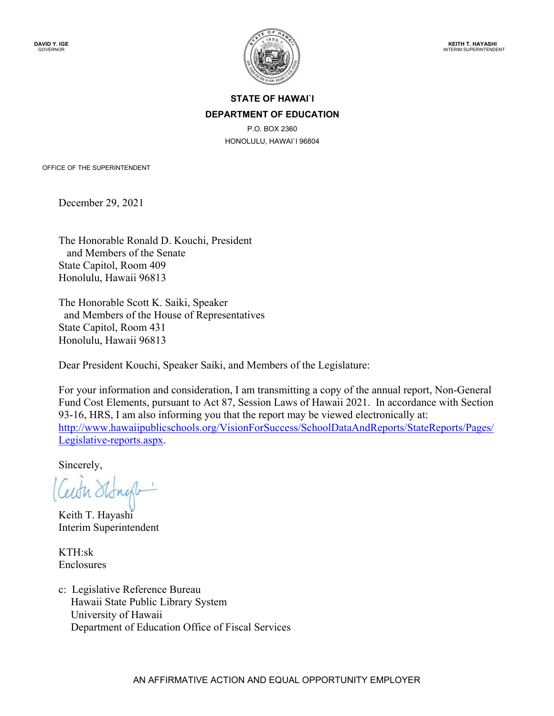

# **STATE OF HAWAI`I DEPARTMENT OF EDUCATION**

P.O. BOX 2360 HONOLULU, HAWAI`I 96804

OFFICE OF THE SUPERINTENDENT

December 29, 2021

The Honorable Ronald D. Kouchi, President and Members of the Senate State Capitol, Room 409 Honolulu, Hawaii 96813

The Honorable Scott K. Saiki, Speaker and Members of the House of Representatives State Capitol, Room 431 Honolulu, Hawaii 96813

Dear President Kouchi, Speaker Saiki, and Members of the Legislature:

For your information and consideration, I am transmitting a copy of the annual report, Non-General Fund Cost Elements, pursuant to Act 87, Session Laws of Hawaii 2021. In accordance with Section 93-16, HRS, I am also informing you that the report may be viewed electronically at: [http://www.hawaiipublicschools.org/VisionForSuccess/SchoolDataAndReports/StateReports/Pages/](http://www.hawaiipublicschools.org/VisionForSuccess/SchoolDataAndReports/StateReports/Pages/Legislative-reports.aspx) [Legislative-reports.aspx.](http://www.hawaiipublicschools.org/VisionForSuccess/SchoolDataAndReports/StateReports/Pages/Legislative-reports.aspx)

Sincerely,

Ceith Ston

Keith T. Hayashi Interim Superintendent

KTH:sk Enclosures

c: Legislative Reference Bureau Hawaii State Public Library System University of Hawaii Department of Education Office of Fiscal Services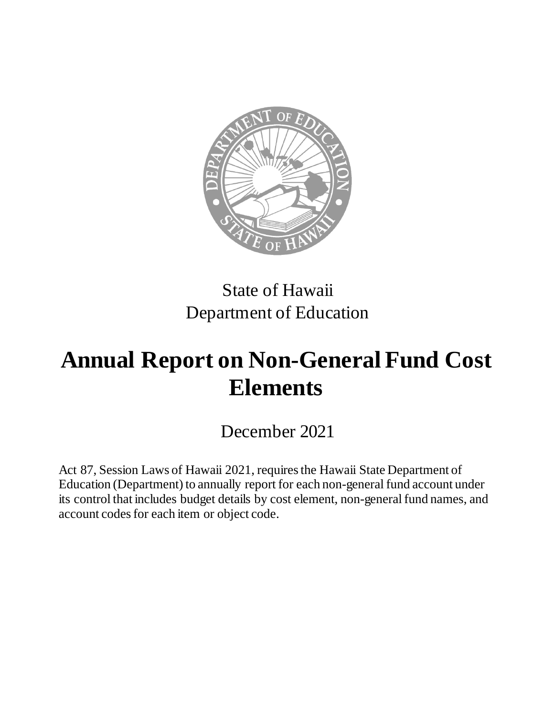

# State of Hawaii Department of Education

# **Annual Report on Non-General Fund Cost Elements**

December 2021

Act 87, Session Laws of Hawaii 2021, requires the Hawaii State Department of Education (Department) to annually report for each non-general fund account under its control that includes budget details by cost element, non-general fund names, and account codes for each item or object code.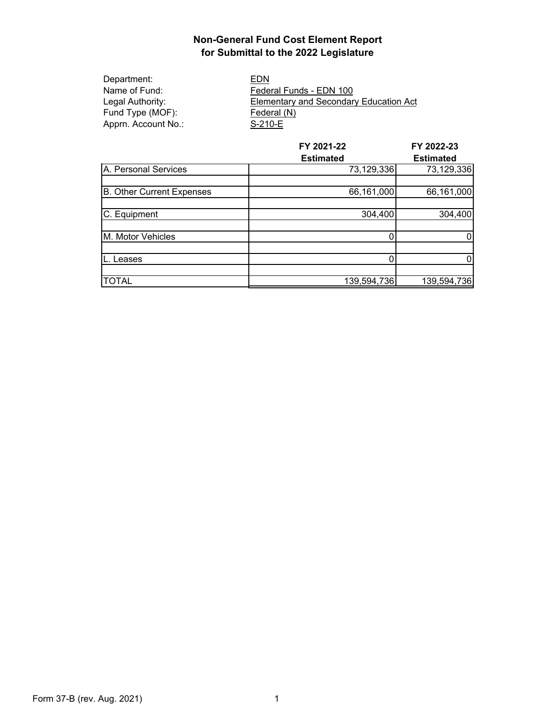Department: EDN<br>
Name of Fund: Feder Fund Type (MOF):<br>Apprn. Account No.: S-210-E Apprn. Account No.:

Federal Funds - EDN 100 Legal Authority: Elementary and Secondary Education Act

|                           | FY 2021-22       | FY 2022-23       |
|---------------------------|------------------|------------------|
|                           | <b>Estimated</b> | <b>Estimated</b> |
| A. Personal Services      | 73,129,336       | 73,129,336       |
|                           |                  |                  |
| B. Other Current Expenses | 66,161,000       | 66,161,000       |
|                           |                  |                  |
| C. Equipment              | 304,400          | 304,400          |
|                           |                  |                  |
| M. Motor Vehicles         |                  | 0                |
|                           |                  |                  |
| Leases                    | 0                | 0                |
|                           |                  |                  |
| <b>TOTAL</b>              | 139,594,736      | 139,594,736      |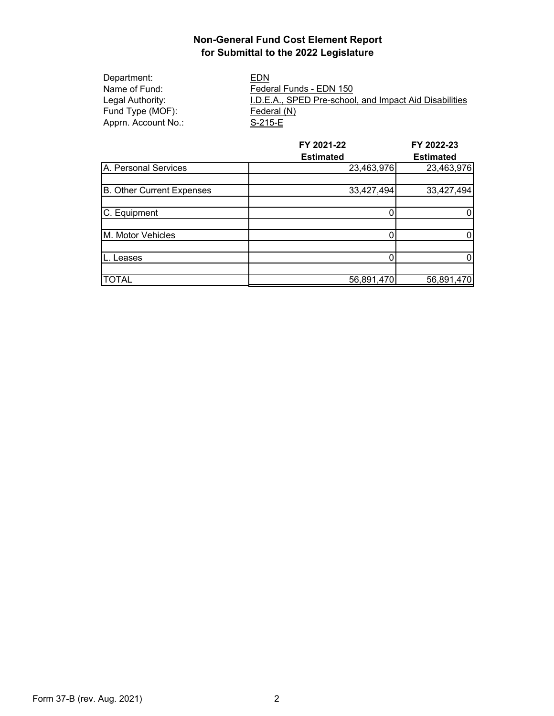| Department:         | EDN                                                    |
|---------------------|--------------------------------------------------------|
| Name of Fund:       | Federal Funds - EDN 150                                |
| Legal Authority: l  | I.D.E.A., SPED Pre-school, and Impact Aid Disabilities |
| Fund Type (MOF):    | Federal (N)                                            |
| Apprn. Account No.: | S-215-E                                                |

|                           | FY 2021-22       | FY 2022-23       |
|---------------------------|------------------|------------------|
|                           | <b>Estimated</b> | <b>Estimated</b> |
| A. Personal Services      | 23,463,976       | 23,463,976       |
|                           |                  |                  |
| B. Other Current Expenses | 33,427,494       | 33,427,494       |
|                           |                  |                  |
| C. Equipment              |                  | 0                |
|                           |                  |                  |
| M. Motor Vehicles         |                  | 0                |
|                           |                  |                  |
| eases                     |                  | 0                |
|                           |                  |                  |
| <b>TOTAL</b>              | 56,891,470       | 56,891,470       |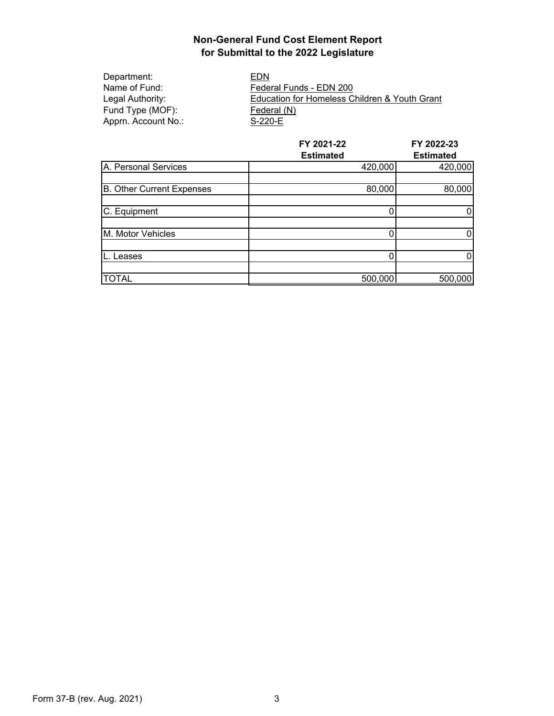Department: EDN<br>Name of Fund: Feder Fund Type (MOF):<br>
Apprn. Account No.: S-220-E Apprn. Account No.:

Name of Fund: Federal Funds - EDN 200<br>
Legal Authority: Education for Homeless C Education for Homeless Children & Youth Grant<br>Federal (N)

|                           | FY 2021-22       | FY 2022-23       |
|---------------------------|------------------|------------------|
|                           | <b>Estimated</b> | <b>Estimated</b> |
| A. Personal Services      | 420,000          | 420,000          |
|                           |                  |                  |
| B. Other Current Expenses | 80,000           | 80,000           |
|                           |                  |                  |
| C. Equipment              | 0                | 0                |
|                           |                  |                  |
| M. Motor Vehicles         |                  | 0                |
|                           |                  |                  |
| Leases                    |                  | 0                |
|                           |                  |                  |
| <b>TOTAL</b>              | 500,000          | 500,000          |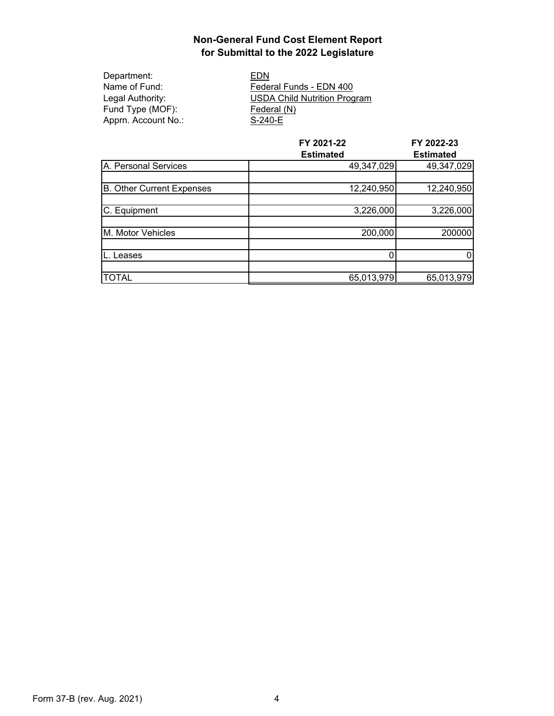| Department:         |
|---------------------|
| Name of Fund:       |
| Legal Authority:    |
| Fund Type (MOF):    |
| Apprn. Account No.: |

EDN Federal Funds - EDN 400 USDA Child Nutrition Program Federal (N)  $S-240-E$ 

|                           | FY 2021-22       | FY 2022-23       |
|---------------------------|------------------|------------------|
|                           | <b>Estimated</b> | <b>Estimated</b> |
| A. Personal Services      | 49,347,029       | 49,347,029       |
|                           |                  |                  |
| B. Other Current Expenses | 12,240,950       | 12,240,950       |
|                           |                  |                  |
| C. Equipment              | 3,226,000        | 3,226,000        |
|                           |                  |                  |
| M. Motor Vehicles         | 200,000          | 200000           |
|                           |                  |                  |
| Leases                    | 0                | 0                |
|                           |                  |                  |
| <b>TOTAL</b>              | 65,013,979       | 65,013,979       |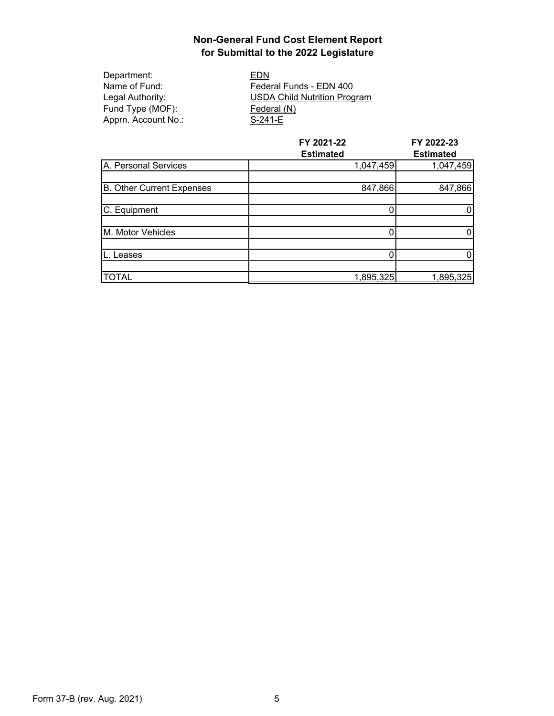| Department:         |
|---------------------|
| Name of Fund:       |
| Legal Authority:    |
| Fund Type (MOF):    |
| Apprn. Account No.: |

EDN<sub>.</sub> Federal Funds - EDN 400 USDA Child Nutrition Program Federal (N)  $S-241-E$ 

|                           | FY 2021-22       | FY 2022-23       |
|---------------------------|------------------|------------------|
|                           | <b>Estimated</b> | <b>Estimated</b> |
| A. Personal Services      | 1,047,459        | 1,047,459        |
|                           |                  |                  |
| B. Other Current Expenses | 847,866          | 847,866          |
|                           |                  |                  |
| C. Equipment              |                  | 0                |
|                           |                  |                  |
| M. Motor Vehicles         |                  | 0                |
|                           |                  |                  |
| Leases                    |                  | 0                |
|                           |                  |                  |
| <b>TOTAL</b>              | 1,895,325        | 1,895,325        |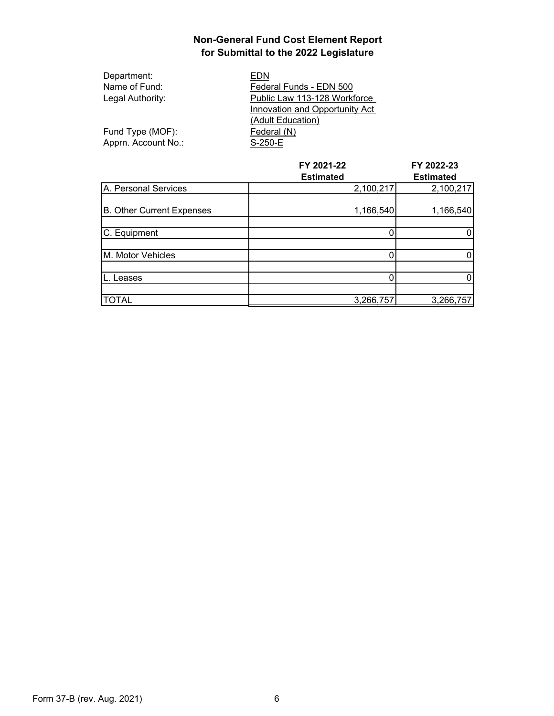| Department:         | EDN                                   |  |
|---------------------|---------------------------------------|--|
| Name of Fund:       | Federal Funds - EDN 500               |  |
| Legal Authority:    | Public Law 113-128 Workforce          |  |
|                     | <b>Innovation and Opportunity Act</b> |  |
|                     | (Adult Education)                     |  |
| Fund Type (MOF):    | Federal (N)                           |  |
| Apprn. Account No.: | S-250-E                               |  |

|                           | FY 2021-22       | FY 2022-23       |
|---------------------------|------------------|------------------|
|                           | <b>Estimated</b> | <b>Estimated</b> |
| A. Personal Services      | 2,100,217        | 2,100,217        |
|                           |                  |                  |
| B. Other Current Expenses | 1,166,540        | 1,166,540        |
|                           |                  |                  |
| C. Equipment              |                  |                  |
|                           |                  |                  |
| M. Motor Vehicles         |                  | 0                |
|                           |                  |                  |
| eases.                    |                  | 0                |
|                           |                  |                  |
| <b>TOTAL</b>              | 3,266,757        | 3,266,757        |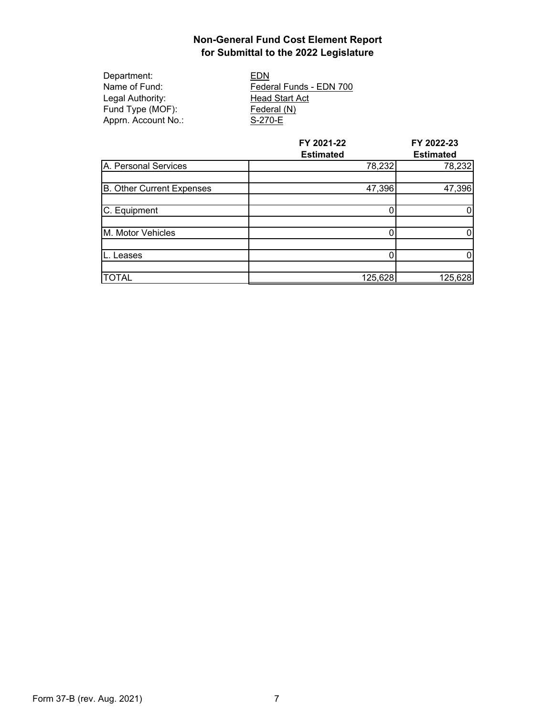| Department:         | EDN                     |
|---------------------|-------------------------|
| Name of Fund:       | Federal Funds - EDN 700 |
| Legal Authority:    | <b>Head Start Act</b>   |
| Fund Type (MOF):    | <b>Federal (N)</b>      |
| Apprn. Account No.: | S-270-E                 |
|                     |                         |

|                                  | FY 2021-22       | FY 2022-23       |
|----------------------------------|------------------|------------------|
|                                  | <b>Estimated</b> | <b>Estimated</b> |
| A. Personal Services             | 78,232           | 78,232           |
|                                  |                  |                  |
| <b>B. Other Current Expenses</b> | 47,396           | 47,396           |
|                                  |                  |                  |
| C. Equipment                     |                  | 0                |
|                                  |                  |                  |
| M. Motor Vehicles                |                  | 0                |
|                                  |                  |                  |
| Leases                           |                  | 0                |
|                                  |                  |                  |
| <b>TOTAL</b>                     | 125,628          | 125,628          |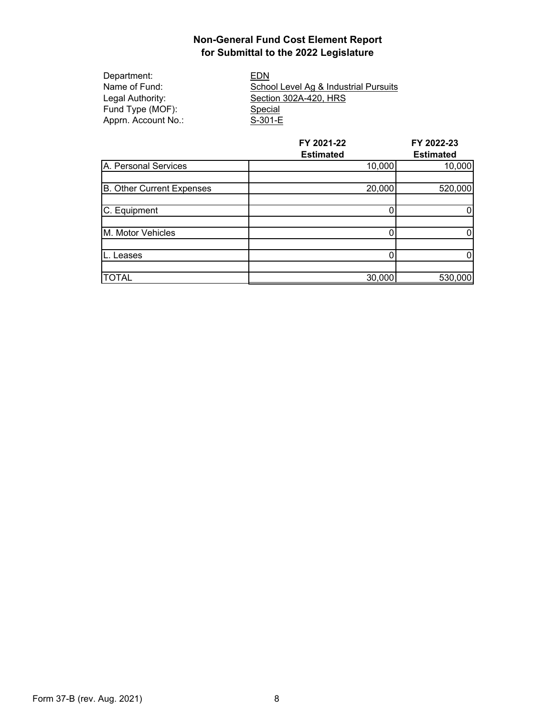| EDN                                   |
|---------------------------------------|
| School Level Ag & Industrial Pursuits |
| Section 302A-420, HRS                 |
| Special                               |
| S-301-E                               |
|                                       |

|                                  | FY 2021-22<br><b>Estimated</b> | FY 2022-23<br><b>Estimated</b> |
|----------------------------------|--------------------------------|--------------------------------|
| A. Personal Services             | 10,000                         | 10,000                         |
| <b>B. Other Current Expenses</b> | 20,000                         | 520,000                        |
| C. Equipment                     |                                |                                |
| M. Motor Vehicles                |                                | 0                              |
| Leases                           |                                | 0                              |
| <b>TOTAL</b>                     | 30,000                         | 530,000                        |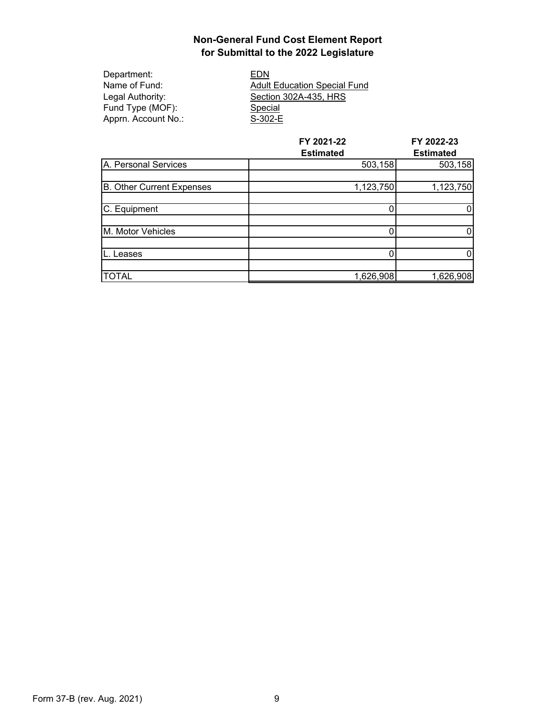| EDN              |
|------------------|
| <b>Adult Edu</b> |
| Section 3        |
| Special          |
| $S-302-E$        |
|                  |

EDN **Adult Education Special Fund** Section 302A-435, HRS Special

|                                  | FY 2021-22       | FY 2022-23       |
|----------------------------------|------------------|------------------|
|                                  | <b>Estimated</b> | <b>Estimated</b> |
| A. Personal Services             | 503,158          | 503,158          |
|                                  |                  |                  |
| <b>B.</b> Other Current Expenses | 1,123,750        | 1,123,750        |
|                                  |                  |                  |
| C. Equipment                     |                  | 0                |
|                                  |                  |                  |
| M. Motor Vehicles                |                  | 0                |
|                                  |                  |                  |
| eases.                           |                  | 0                |
|                                  |                  |                  |
| <b>TOTAL</b>                     | 1,626,908        | 1,626,908        |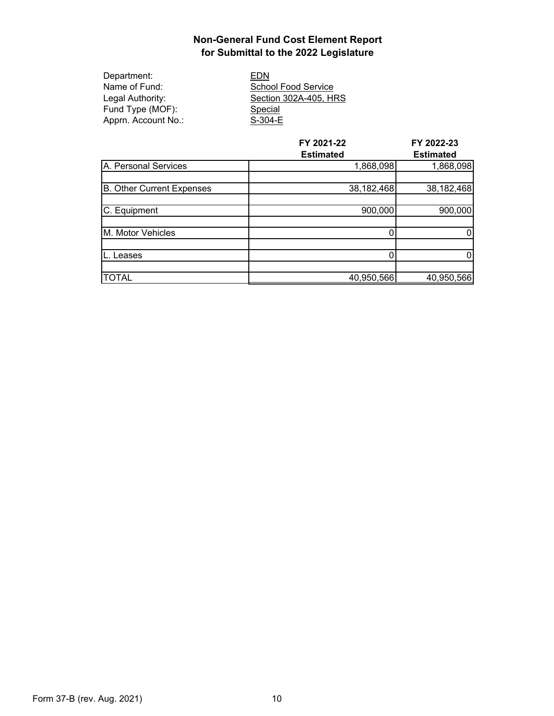| Department:         | EDN                   |
|---------------------|-----------------------|
| Name of Fund:       | School Food Service   |
| Legal Authority:    | Section 302A-405, HRS |
| Fund Type (MOF):    | <b>Special</b>        |
| Apprn. Account No.: | $S-304-E$             |

|                           | FY 2021-22<br><b>Estimated</b> | FY 2022-23<br><b>Estimated</b> |
|---------------------------|--------------------------------|--------------------------------|
| A. Personal Services      | 1,868,098                      | 1,868,098                      |
| B. Other Current Expenses | 38,182,468                     | 38,182,468                     |
| C. Equipment              | 900,000                        | 900,000                        |
| M. Motor Vehicles         |                                | 0                              |
| Leases                    |                                | 0                              |
| <b>TOTAL</b>              | 40,950,566                     | 40,950,566                     |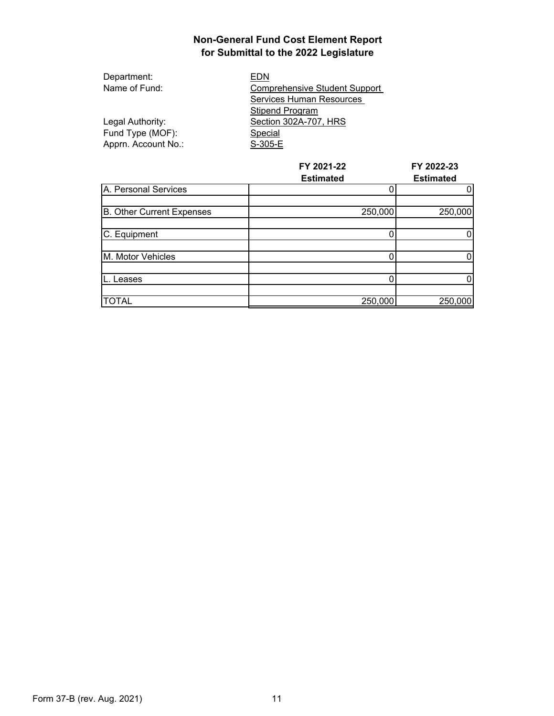| Department:         | EDN                                  |
|---------------------|--------------------------------------|
| Name of Fund:       | <b>Comprehensive Student Support</b> |
|                     | Services Human Resources             |
|                     | Stipend Program                      |
| Legal Authority:    | Section 302A-707, HRS                |
| Fund Type (MOF):    | Special                              |
| Apprn. Account No.: | S-305-E                              |

|                           | FY 2021-22<br><b>Estimated</b> | FY 2022-23<br><b>Estimated</b> |
|---------------------------|--------------------------------|--------------------------------|
| A. Personal Services      |                                |                                |
| B. Other Current Expenses | 250,000                        | 250,000                        |
| C. Equipment              |                                |                                |
| M. Motor Vehicles         |                                |                                |
| Leases                    |                                |                                |
| <b>TOTAL</b>              | 250,000                        | 250,000                        |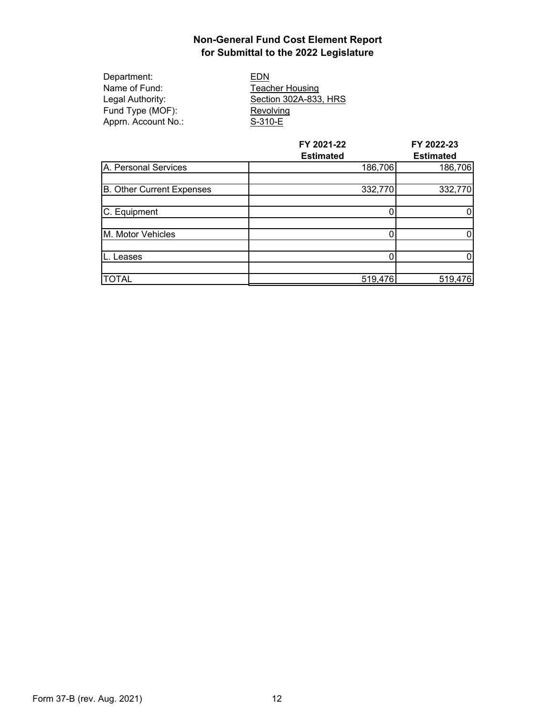| Department:         | EDN                    |
|---------------------|------------------------|
| Name of Fund:       | <b>Teacher Housing</b> |
| Legal Authority:    | Section 302A-833, HRS  |
| Fund Type (MOF):    | Revolving              |
| Apprn. Account No.: | S-310-E                |
|                     |                        |

|                           | FY 2021-22<br><b>Estimated</b> | FY 2022-23<br><b>Estimated</b> |
|---------------------------|--------------------------------|--------------------------------|
| A. Personal Services      | 186,706                        | 186,706                        |
| B. Other Current Expenses | 332,770                        | 332,770                        |
| C. Equipment              |                                |                                |
| M. Motor Vehicles         |                                |                                |
| Leases                    |                                |                                |
| <b>TOTAL</b>              | 519,476                        | 519,476                        |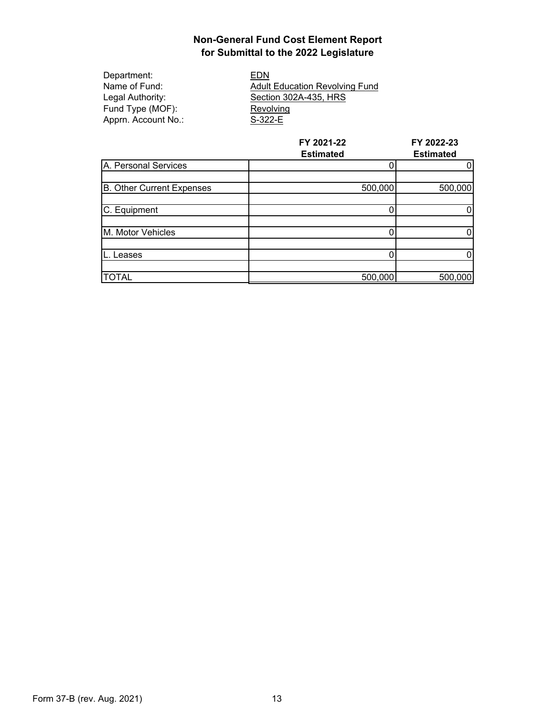Department: EDN<br>
Name of Fund: Adult Fund Type (MOF):<br>Apprn. Account No.: S-322-E Apprn. Account No.:

Name of Fund:<br>
Legal Authority: Capacity Section 302A-435, HRS Section 302A-435, HRS

|                           | FY 2021-22<br><b>Estimated</b> | FY 2022-23<br><b>Estimated</b> |
|---------------------------|--------------------------------|--------------------------------|
| A. Personal Services      |                                | 0                              |
|                           |                                |                                |
| B. Other Current Expenses | 500,000                        | 500,000                        |
|                           |                                |                                |
| C. Equipment              |                                |                                |
|                           |                                |                                |
| M. Motor Vehicles         |                                | 0                              |
|                           |                                |                                |
| Leases                    |                                | 0                              |
|                           |                                |                                |
| <b>TOTAL</b>              | 500,000                        | 500,000                        |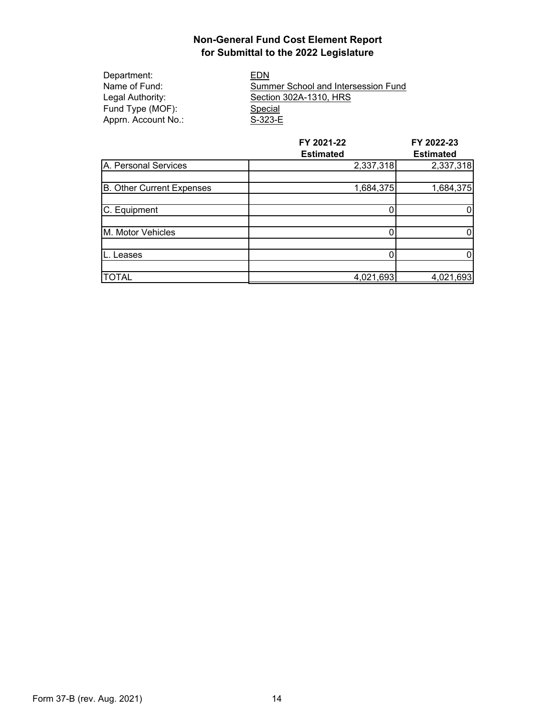| Department:         | EDN                                 |
|---------------------|-------------------------------------|
| Name of Fund:       | Summer School and Intersession Fund |
| Legal Authority: l  | Section 302A-1310, HRS              |
| Fund Type (MOF):    | Special                             |
| Apprn. Account No.: | S-323-E                             |

|                           | FY 2021-22       | FY 2022-23<br><b>Estimated</b> |
|---------------------------|------------------|--------------------------------|
|                           | <b>Estimated</b> |                                |
| A. Personal Services      | 2,337,318        | 2,337,318                      |
|                           |                  |                                |
| B. Other Current Expenses | 1,684,375        | 1,684,375                      |
| C. Equipment              |                  |                                |
| M. Motor Vehicles         |                  |                                |
| Leases                    |                  |                                |
| <b>TOTAL</b>              | 4,021,693        | 4,021,693                      |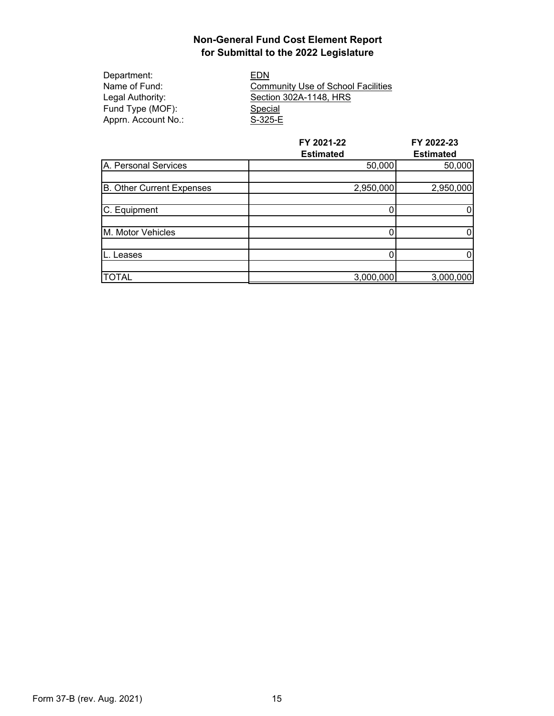Department: EDN<br>
Name of Fund: Comm Fund Type (MOF):<br>
Apprn. Account No.: S-325-E Apprn. Account No.:

Name of Fund: Community Use of School Facilities<br>
Legal Authority: Section 302A-1148, HRS Section 302A-1148, HRS

|                           | FY 2021-22       | FY 2022-23<br><b>Estimated</b> |
|---------------------------|------------------|--------------------------------|
|                           | <b>Estimated</b> |                                |
| A. Personal Services      | 50,000           | 50,000                         |
|                           |                  |                                |
| B. Other Current Expenses | 2,950,000        | 2,950,000                      |
|                           |                  |                                |
| C. Equipment              |                  | 0                              |
|                           |                  |                                |
| M. Motor Vehicles         | 0                | 0                              |
|                           |                  |                                |
| ∟eases                    | 0                | 0                              |
|                           |                  |                                |
| <b>TOTAL</b>              | 3,000,000        | 3,000,000                      |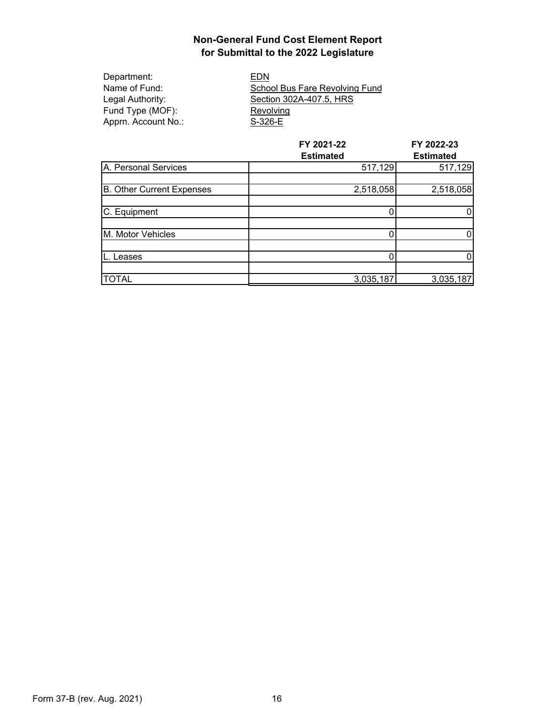| Department:         | EDN                            |
|---------------------|--------------------------------|
| Name of Fund:       | School Bus Fare Revolving Fund |
| Legal Authority:    | Section 302A-407.5, HRS        |
| Fund Type (MOF):    | Revolving                      |
| Apprn. Account No.: | S-326-E                        |
|                     |                                |

|                           | FY 2021-22       | FY 2022-23       |
|---------------------------|------------------|------------------|
|                           | <b>Estimated</b> | <b>Estimated</b> |
| A. Personal Services      | 517,129          | 517,129          |
|                           |                  |                  |
| B. Other Current Expenses | 2,518,058        | 2,518,058        |
|                           |                  |                  |
| C. Equipment              |                  | 0                |
|                           |                  |                  |
| M. Motor Vehicles         |                  | 0                |
|                           |                  |                  |
| eases.                    |                  | 0                |
|                           |                  |                  |
| <b>TOTAL</b>              | 3,035,187        | 3,035,187        |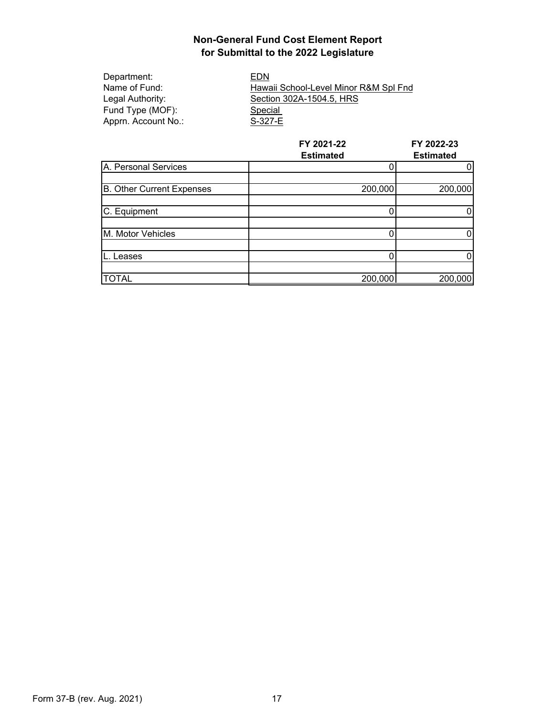| Department:         | EDN                                   |
|---------------------|---------------------------------------|
| Name of Fund:       | Hawaii School-Level Minor R&M Spl Fnd |
| Legal Authority:    | Section 302A-1504.5, HRS              |
| Fund Type (MOF):    | Special                               |
| Apprn. Account No.: | S-327-E                               |
|                     |                                       |

|                                  | FY 2021-22<br><b>Estimated</b> | FY 2022-23<br><b>Estimated</b> |
|----------------------------------|--------------------------------|--------------------------------|
| A. Personal Services             |                                | 0                              |
| <b>B.</b> Other Current Expenses | 200,000                        | 200,000                        |
| C. Equipment                     |                                |                                |
| M. Motor Vehicles                |                                | 0                              |
| Leases                           |                                | 0                              |
| <b>TOTAL</b>                     | 200,000                        | 200,000                        |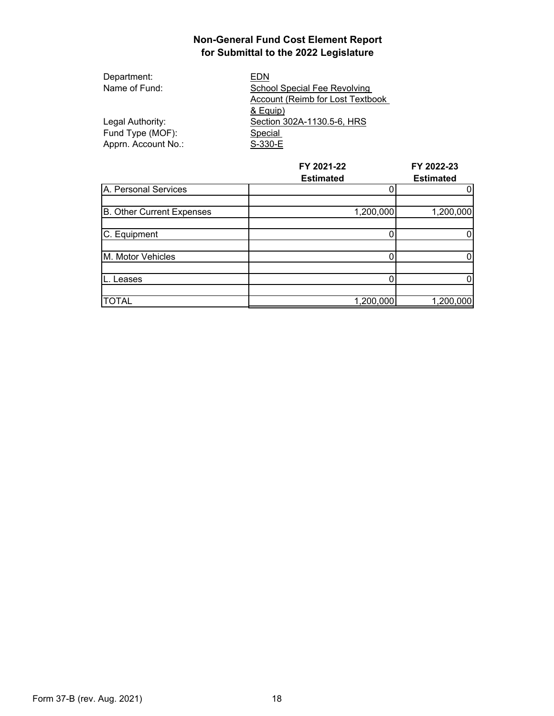| Department:         | EDN                              |  |
|---------------------|----------------------------------|--|
| Name of Fund:       | School Special Fee Revolving     |  |
|                     | Account (Reimb for Lost Textbook |  |
|                     | & Equip)                         |  |
| Legal Authority:    | Section 302A-1130.5-6, HRS       |  |
| Fund Type (MOF):    | Special                          |  |
| Apprn. Account No.: | S-330-E                          |  |

|                           | FY 2021-22<br><b>Estimated</b> | FY 2022-23<br><b>Estimated</b> |
|---------------------------|--------------------------------|--------------------------------|
| A. Personal Services      |                                |                                |
| B. Other Current Expenses | 1,200,000                      | 1,200,000                      |
| C. Equipment              |                                |                                |
| M. Motor Vehicles         |                                |                                |
| eases.                    |                                |                                |
| <b>TOTAL</b>              | 1,200,000                      | 1,200,000                      |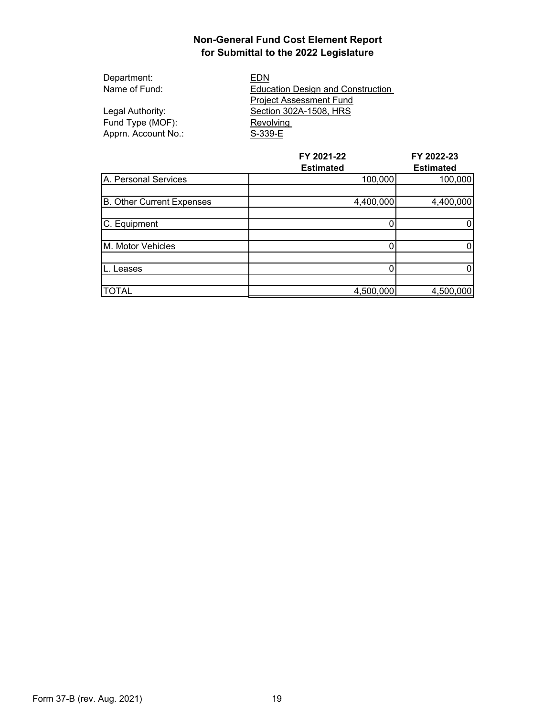| Department:         | EDN                                      |
|---------------------|------------------------------------------|
| Name of Fund:       | <b>Education Design and Construction</b> |
|                     | <b>Project Assessment Fund</b>           |
| Legal Authority:    | Section 302A-1508, HRS                   |
| Fund Type (MOF):    | Revolving                                |
| Apprn. Account No.: | S-339-E                                  |

|                           | FY 2021-22       | FY 2022-23<br><b>Estimated</b> |
|---------------------------|------------------|--------------------------------|
|                           | <b>Estimated</b> |                                |
| A. Personal Services      | 100,000          | 100,000                        |
|                           |                  |                                |
| B. Other Current Expenses | 4,400,000        | 4,400,000                      |
|                           |                  |                                |
| C. Equipment              |                  | 0                              |
|                           |                  |                                |
| M. Motor Vehicles         |                  | 0                              |
|                           |                  |                                |
| Leases                    |                  | 0                              |
|                           |                  |                                |
| <b>TOTAL</b>              | 4,500,000        | 4,500,000                      |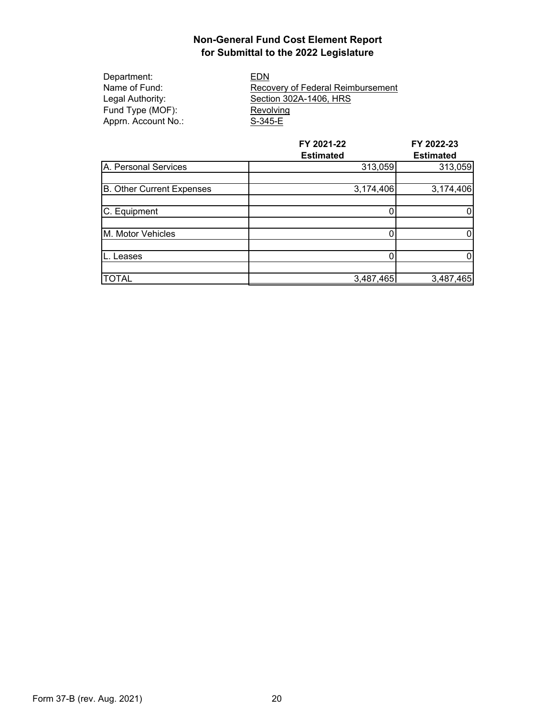| EDN                               |
|-----------------------------------|
| Recovery of Federal Reimbursement |
| Section 302A-1406, HRS            |
| Revolving                         |
| S-345-E                           |
|                                   |

|                           | FY 2021-22       | FY 2022-23<br><b>Estimated</b> |
|---------------------------|------------------|--------------------------------|
|                           | <b>Estimated</b> |                                |
| A. Personal Services      | 313,059          | 313,059                        |
|                           |                  |                                |
| B. Other Current Expenses | 3,174,406        | 3,174,406                      |
|                           |                  |                                |
| C. Equipment              |                  |                                |
|                           |                  |                                |
| M. Motor Vehicles         |                  | 0                              |
|                           |                  |                                |
| Leases                    |                  | 0                              |
|                           |                  |                                |
| <b>TOTAL</b>              | 3,487,465        | 3,487,465                      |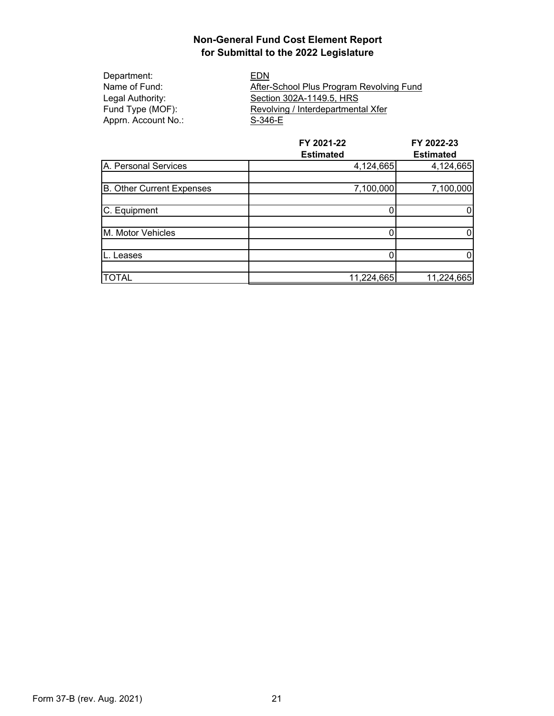Department: EDN Apprn. Account No.: S-346-E

Name of Fund: After-School Plus Program Revolving Fund<br>Legal Authority: Section 302A-1149.5, HRS Legal Authority: Section 302A-1149.5, HRS<br>Fund Type (MOF): Revolving / Interdepartment Revolving / Interdepartmental Xfer

|                           | FY 2021-22       | FY 2022-23       |
|---------------------------|------------------|------------------|
|                           | <b>Estimated</b> | <b>Estimated</b> |
| A. Personal Services      | 4,124,665        | 4,124,665        |
|                           |                  |                  |
| B. Other Current Expenses | 7,100,000        | 7,100,000        |
|                           |                  |                  |
| C. Equipment              |                  | 0                |
|                           |                  |                  |
| M. Motor Vehicles         | 0                | 0                |
|                           |                  |                  |
| Leases                    |                  | 0                |
|                           |                  |                  |
| <b>TOTAL</b>              | 11,224,665       | 11,224,665       |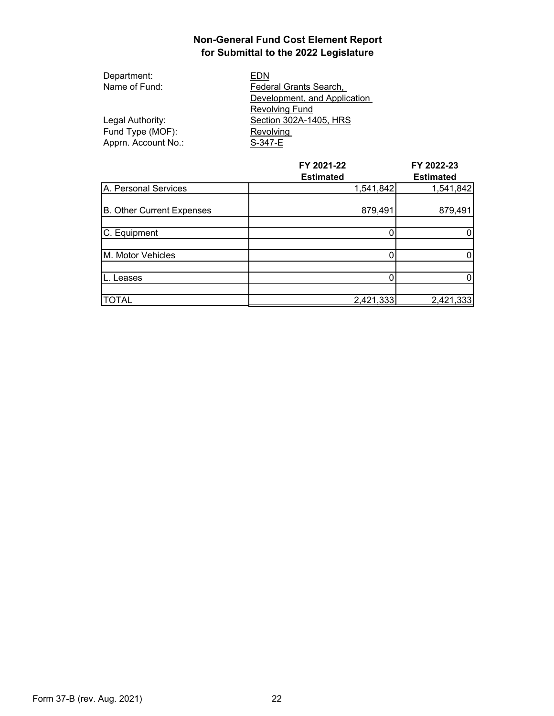| Department:         | EDN                          |
|---------------------|------------------------------|
| Name of Fund:       | Federal Grants Search,       |
|                     | Development, and Application |
|                     | <b>Revolving Fund</b>        |
| Legal Authority:    | Section 302A-1405, HRS       |
| Fund Type (MOF):    | Revolving                    |
| Apprn. Account No.: | S-347-E                      |

|                           | FY 2021-22       | FY 2022-23       |
|---------------------------|------------------|------------------|
|                           | <b>Estimated</b> | <b>Estimated</b> |
| A. Personal Services      | 1,541,842        | 1,541,842        |
| B. Other Current Expenses | 879,491          | 879,491          |
|                           |                  |                  |
| C. Equipment              |                  |                  |
| M. Motor Vehicles         |                  | 0                |
|                           |                  |                  |
| Leases                    |                  | 0                |
|                           |                  |                  |
| <b>TOTAL</b>              | 2,421,333        | 2,421,333        |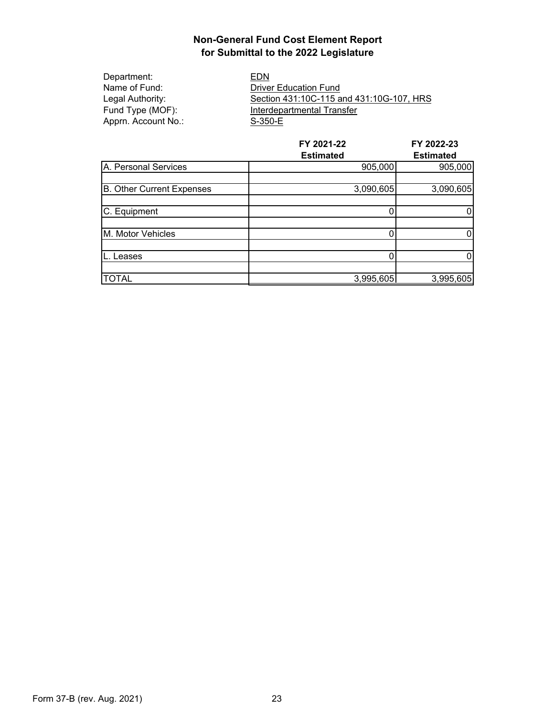| Department:         | EDN                                      |
|---------------------|------------------------------------------|
| Name of Fund:       | <b>Driver Education Fund</b>             |
| Legal Authority:    | Section 431:10C-115 and 431:10G-107, HRS |
| Fund Type (MOF):    | Interdepartmental Transfer               |
| Apprn. Account No.: | S-350-E                                  |
|                     |                                          |

|                                  | FY 2021-22<br><b>Estimated</b> | FY 2022-23<br><b>Estimated</b> |
|----------------------------------|--------------------------------|--------------------------------|
| A. Personal Services             | 905,000                        | 905,000                        |
| <b>B.</b> Other Current Expenses | 3,090,605                      | 3,090,605                      |
| C. Equipment                     |                                | 0                              |
| M. Motor Vehicles                |                                | 0                              |
| Leases                           |                                | 0                              |
| <b>TOTAL</b>                     | 3,995,605                      | 3,995,605                      |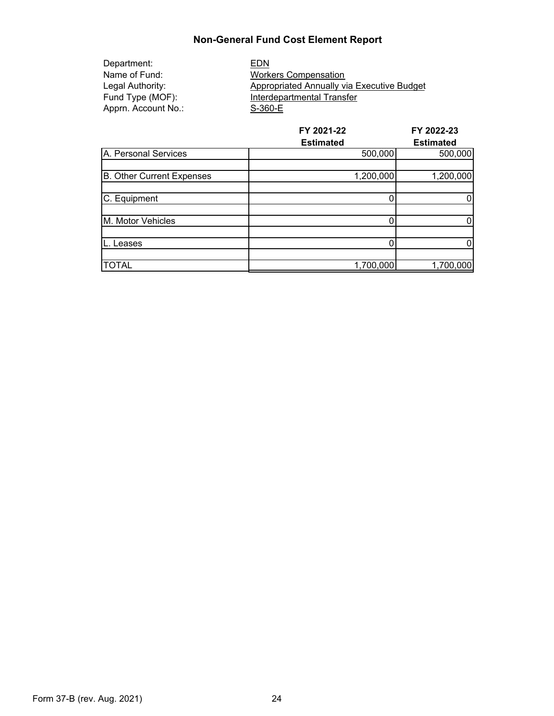## **Non-General Fund Cost Element Report**

Department: EDN Apprn. Account No.: S-360-E

Name of Fund: Workers Compensation<br>
Legal Authority: Appropriated Annually vi Appropriated Annually via Executive Budget Fund Type (MOF): Interdepartmental Transfer

|                                  | FY 2021-22       | FY 2022-23       |
|----------------------------------|------------------|------------------|
|                                  | <b>Estimated</b> | <b>Estimated</b> |
| A. Personal Services             | 500,000          | 500,000          |
|                                  |                  |                  |
| <b>B.</b> Other Current Expenses | 1,200,000        | 1,200,000        |
|                                  |                  |                  |
| C. Equipment                     |                  | 0                |
|                                  |                  |                  |
| M. Motor Vehicles                | 0                | 0                |
|                                  |                  |                  |
| eases.                           | 0                | 0                |
|                                  |                  |                  |
| <b>TOTAL</b>                     | 1,700,000        | 1,700,000        |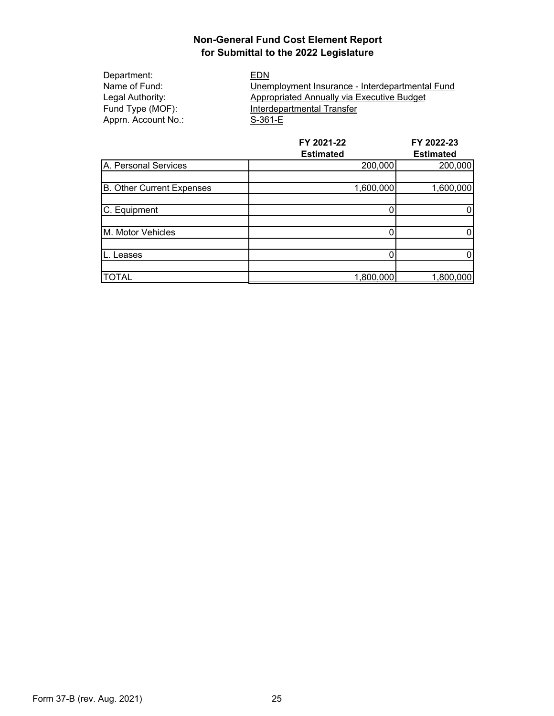Department: EDN<br>Name of Fund: Unem Apprn. Account No.:

Name of Fund:<br>
Legal Authority: examployment Insurance - Interdepartmental Fund<br>
Appropriated Annually via Executive Budget Appropriated Annually via Executive Budget Fund Type (MOF):<br>
Apprn. Account No.: S-361-E

|                           | FY 2021-22       | FY 2022-23       |
|---------------------------|------------------|------------------|
|                           | <b>Estimated</b> | <b>Estimated</b> |
| A. Personal Services      | 200,000          | 200,000          |
|                           |                  |                  |
| B. Other Current Expenses | 1,600,000        | 1,600,000        |
|                           |                  |                  |
| C. Equipment              |                  | 0                |
|                           |                  |                  |
| M. Motor Vehicles         |                  | 0                |
|                           |                  |                  |
| Leases                    | 0                | 0                |
|                           |                  |                  |
| <b>TOTAL</b>              | 1,800,000        | 1,800,000        |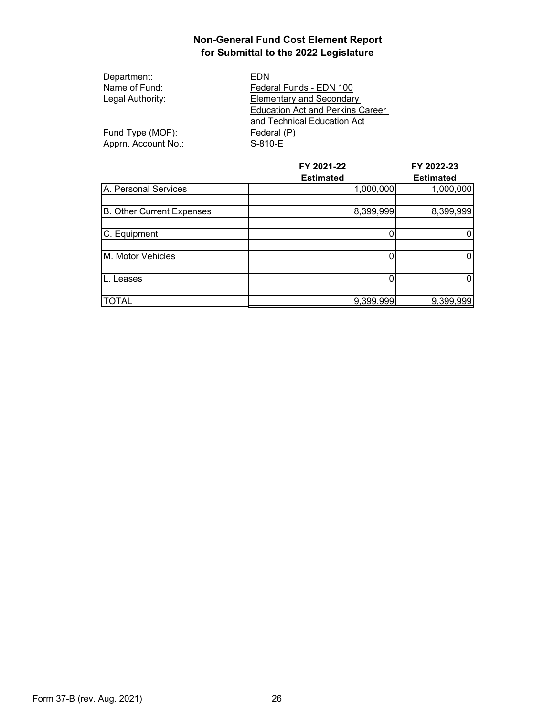| Department:         | EDN                                     |
|---------------------|-----------------------------------------|
| Name of Fund:       | Federal Funds - EDN 100                 |
| Legal Authority:    | <b>Elementary and Secondary</b>         |
|                     | <b>Education Act and Perkins Career</b> |
|                     | and Technical Education Act             |
| Fund Type (MOF):    | Federal (P)                             |
| Apprn. Account No.: | S-810-E                                 |

|                           | FY 2021-22       | FY 2022-23       |
|---------------------------|------------------|------------------|
|                           | <b>Estimated</b> | <b>Estimated</b> |
| A. Personal Services      | 1,000,000        | 1,000,000        |
| B. Other Current Expenses | 8,399,999        | 8,399,999        |
|                           |                  |                  |
| C. Equipment              |                  |                  |
| M. Motor Vehicles         |                  | 0                |
|                           |                  |                  |
| eases.                    |                  | 0                |
|                           |                  |                  |
| <b>TOTAL</b>              | 9,399,999        | 9,399,999        |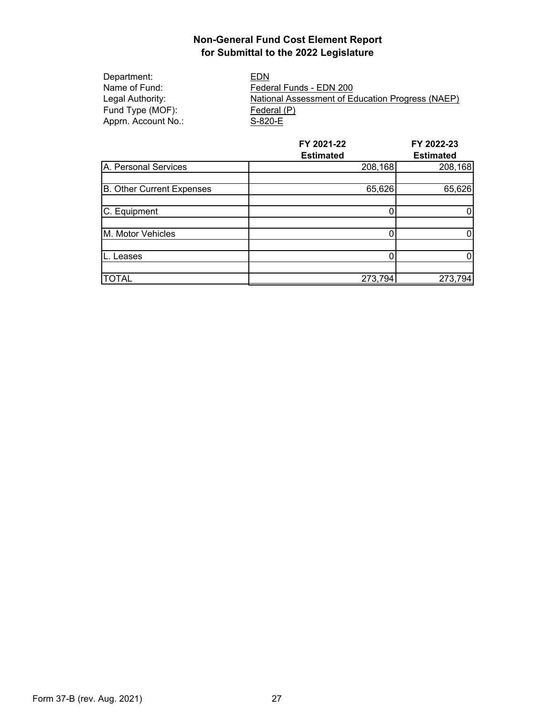Department: EDN<br>Name of Fund: Feder Fund Type (MOF):<br>
Apprn. Account No.: S-820-E Apprn. Account No.:

Name of Fund: Federal Funds - EDN 200<br>
Legal Authority: National Assessment of Equation National Assessment of Education Progress (NAEP)<br>Federal (P)

|                           | FY 2021-22       | FY 2022-23       |
|---------------------------|------------------|------------------|
|                           | <b>Estimated</b> | <b>Estimated</b> |
| A. Personal Services      | 208,168          | 208,168          |
|                           |                  |                  |
| B. Other Current Expenses | 65,626           | 65,626           |
|                           |                  |                  |
| C. Equipment              |                  | 0                |
|                           |                  |                  |
| M. Motor Vehicles         |                  | 0                |
|                           |                  |                  |
| Leases                    |                  | 0                |
|                           |                  |                  |
| <b>TOTAL</b>              | 273,794          | 273,794          |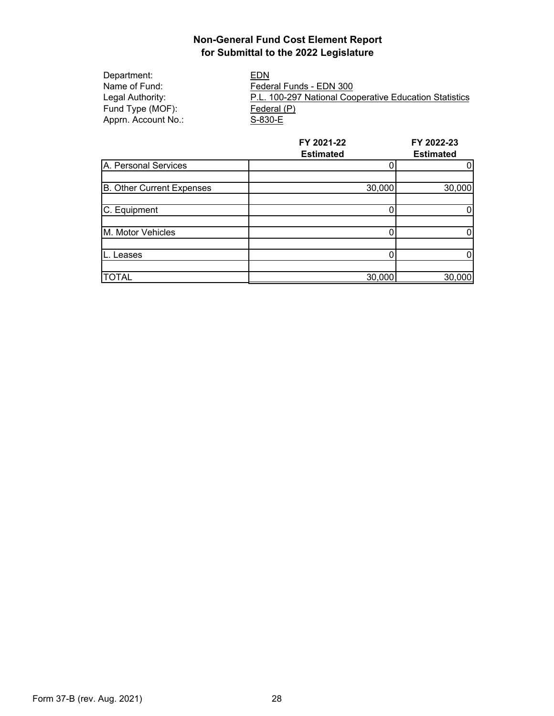Department: EDN<br>
Name of Fund: Feder Name of Fund: Federal Funds - EDN 300<br>
Legal Authority: F.L. 100-297 National Coo P.L. 100-297 National Cooperative Education Statistics Fund Type (MOF):<br>
Apprn. Account No.: S-830-E Apprn. Account No.:

|                                  | FY 2021-22<br><b>Estimated</b> | FY 2022-23<br><b>Estimated</b> |
|----------------------------------|--------------------------------|--------------------------------|
| A. Personal Services             |                                |                                |
| <b>B.</b> Other Current Expenses | 30,000                         | 30,000                         |
| C. Equipment                     |                                |                                |
| M. Motor Vehicles                |                                |                                |
| eases.                           |                                |                                |
| <b>TOTAL</b>                     | 30,000                         | 30,000                         |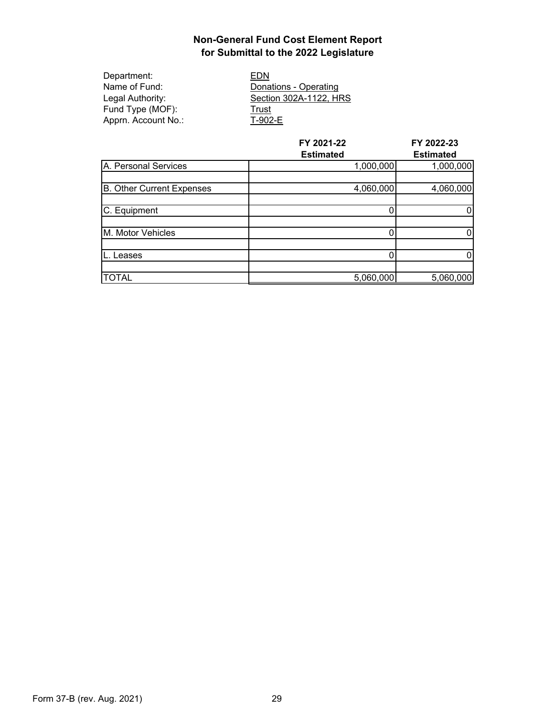| Department:         | EDN                    |
|---------------------|------------------------|
| Name of Fund:       | Donations - Operating  |
| Legal Authority:    | Section 302A-1122, HRS |
| Fund Type (MOF):    | Trust                  |
| Apprn. Account No.: | T-902-E                |

|                                  | FY 2021-22<br><b>Estimated</b> | FY 2022-23<br><b>Estimated</b> |
|----------------------------------|--------------------------------|--------------------------------|
| A. Personal Services             | 1,000,000                      | 1,000,000                      |
| <b>B. Other Current Expenses</b> | 4,060,000                      | 4,060,000                      |
| C. Equipment                     |                                |                                |
| M. Motor Vehicles                |                                | 0                              |
| eases-                           |                                |                                |
| <b>TOTAL</b>                     | 5,060,000                      | 5,060,000                      |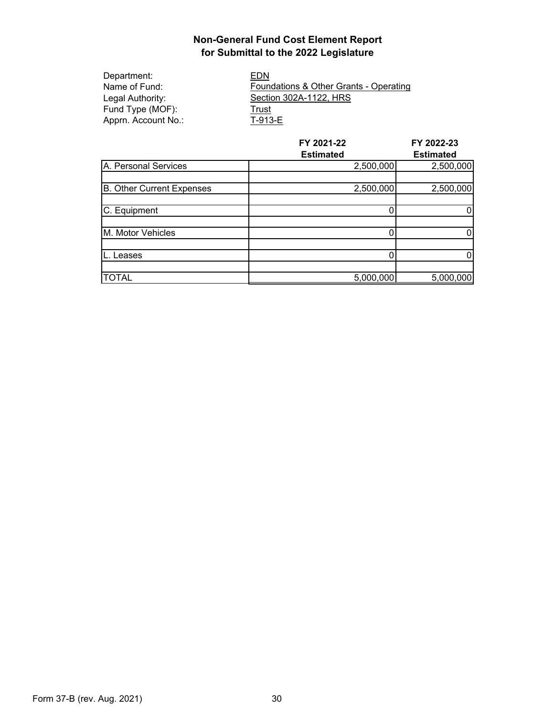| Department:         | EDN                                               |
|---------------------|---------------------------------------------------|
| Name of Fund:       | <b>Foundations &amp; Other Grants - Operating</b> |
| Legal Authority:    | Section 302A-1122, HRS                            |
| Fund Type (MOF):    | Trust                                             |
| Apprn. Account No.: | T-913-E                                           |
|                     |                                                   |

|                           | FY 2021-22<br><b>Estimated</b> | FY 2022-23<br><b>Estimated</b> |
|---------------------------|--------------------------------|--------------------------------|
| A. Personal Services      | 2,500,000                      | 2,500,000                      |
| B. Other Current Expenses | 2,500,000                      | 2,500,000                      |
| C. Equipment              |                                |                                |
| M. Motor Vehicles         | 0                              | 0                              |
| eases.                    |                                |                                |
| <b>TOTAL</b>              | 5,000,000                      | 5,000,000                      |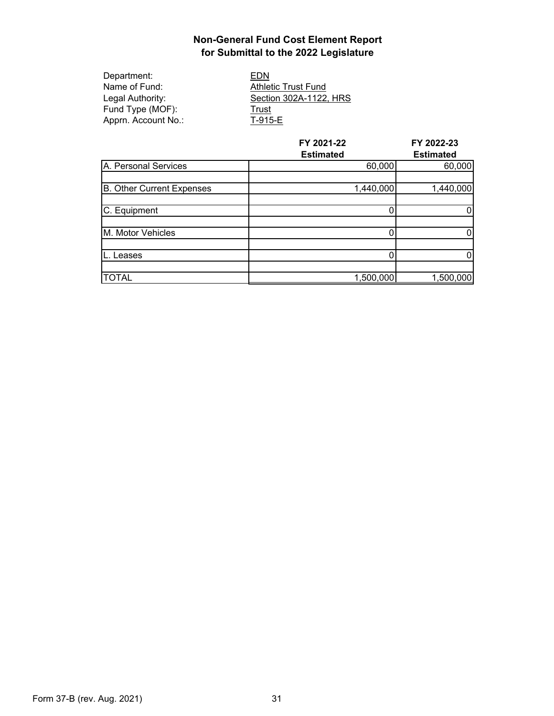| EDN                        |
|----------------------------|
| <b>Athletic Trust Fund</b> |
| Section 302A-1122, HRS     |
| Trust                      |
| T-915-E                    |
|                            |

|                                  | FY 2021-22<br><b>Estimated</b> | FY 2022-23<br><b>Estimated</b> |
|----------------------------------|--------------------------------|--------------------------------|
| A. Personal Services             | 60,000                         | 60,000                         |
| <b>B. Other Current Expenses</b> | 1,440,000                      | 1,440,000                      |
| C. Equipment                     |                                |                                |
| M. Motor Vehicles                |                                |                                |
| Leases                           |                                | 0                              |
| <b>TOTAL</b>                     | 1,500,000                      | 1,500,000                      |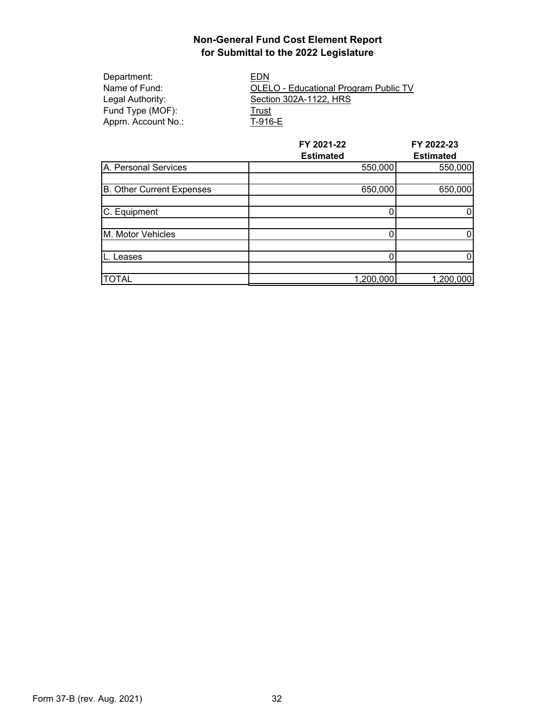| Department:         | EDN                                   |
|---------------------|---------------------------------------|
| Name of Fund:       | OLELO - Educational Program Public TV |
| Legal Authority:    | Section 302A-1122, HRS                |
| Fund Type (MOF):    | Trust                                 |
| Apprn. Account No.: | T-916-E                               |

|                           | FY 2021-22       | FY 2022-23       |
|---------------------------|------------------|------------------|
|                           | <b>Estimated</b> | <b>Estimated</b> |
| A. Personal Services      | 550,000          | 550,000          |
|                           |                  |                  |
| B. Other Current Expenses | 650,000          | 650,000          |
|                           |                  |                  |
| C. Equipment              |                  |                  |
|                           |                  |                  |
| M. Motor Vehicles         |                  |                  |
|                           |                  |                  |
| eases.                    |                  |                  |
|                           |                  |                  |
| <b>TOTAL</b>              | 1,200,000        | 1,200,000        |